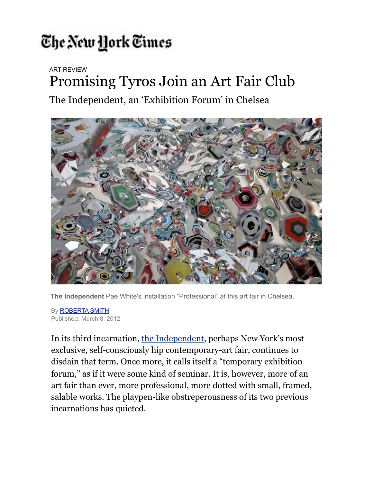## The New York Times

ART REVIEW

## Promising Tyros Join an Art Fair Club

The Independent, an 'Exhibition Forum' in Chelsea



**The Independent** Pae White's installation "Professional" at this art fair in Chelsea.

By [ROBERTA SMITH](http://topics.nytimes.com/top/reference/timestopics/people/s/roberta_smith/index.html?inline=nyt-per) Published: March 8, 2012

In its third incarnation, [the Independent,](http://www.independentnewyork.com/) perhaps New York's most exclusive, self-consciously hip contemporary-art fair, continues to disdain that term. Once more, it calls itself a "temporary exhibition forum," as if it were some kind of seminar. It is, however, more of an art fair than ever, more professional, more dotted with small, framed, salable works. The playpen-like obstreperousness of its two previous incarnations has quieted.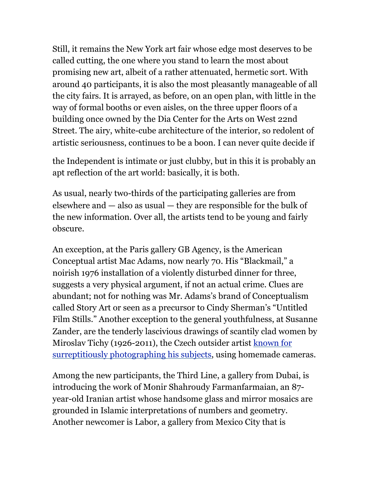Still, it remains the New York art fair whose edge most deserves to be called cutting, the one where you stand to learn the most about promising new art, albeit of a rather attenuated, hermetic sort. With around 40 participants, it is also the most pleasantly manageable of all the city fairs. It is arrayed, as before, on an open plan, with little in the way of formal booths or even aisles, on the three upper floors of a building once owned by the Dia Center for the Arts on West 22nd Street. The airy, white-cube architecture of the interior, so redolent of artistic seriousness, continues to be a boon. I can never quite decide if

the Independent is intimate or just clubby, but in this it is probably an apt reflection of the art world: basically, it is both.

As usual, nearly two-thirds of the participating galleries are from elsewhere and — also as usual — they are responsible for the bulk of the new information. Over all, the artists tend to be young and fairly obscure.

An exception, at the Paris gallery GB Agency, is the American Conceptual artist Mac Adams, now nearly 70. His "Blackmail," a noirish 1976 installation of a violently disturbed dinner for three, suggests a very physical argument, if not an actual crime. Clues are abundant; not for nothing was Mr. Adams's brand of Conceptualism called Story Art or seen as a precursor to Cindy Sherman's "Untitled Film Stills." Another exception to the general youthfulness, at Susanne Zander, are the tenderly lascivious drawings of scantily clad women by Miroslav Tichy (1926-2011), the Czech outsider artist [known for](http://www.nytimes.com/2010/02/12/arts/design/12photos.html)  [surreptitiously photographing his subjects](http://www.nytimes.com/2010/02/12/arts/design/12photos.html), using homemade cameras.

Among the new participants, the Third Line, a gallery from Dubai, is introducing the work of Monir Shahroudy Farmanfarmaian, an 87 year-old Iranian artist whose handsome glass and mirror mosaics are grounded in Islamic interpretations of numbers and geometry. Another newcomer is Labor, a gallery from Mexico City that is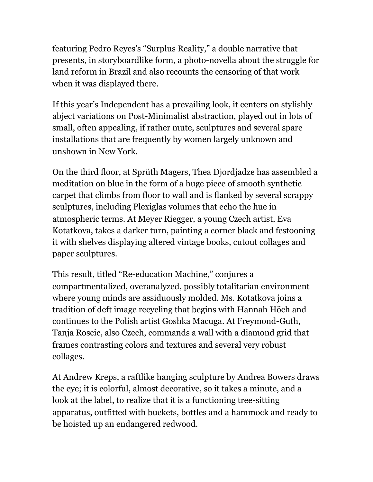featuring Pedro Reyes's "Surplus Reality," a double narrative that presents, in storyboardlike form, a photo-novella about the struggle for land reform in Brazil and also recounts the censoring of that work when it was displayed there.

If this year's Independent has a prevailing look, it centers on stylishly abject variations on Post-Minimalist abstraction, played out in lots of small, often appealing, if rather mute, sculptures and several spare installations that are frequently by women largely unknown and unshown in New York.

On the third floor, at Sprüth Magers, Thea Djordjadze has assembled a meditation on blue in the form of a huge piece of smooth synthetic carpet that climbs from floor to wall and is flanked by several scrappy sculptures, including Plexiglas volumes that echo the hue in atmospheric terms. At Meyer Riegger, a young Czech artist, Eva Kotatkova, takes a darker turn, painting a corner black and festooning it with shelves displaying altered vintage books, cutout collages and paper sculptures.

This result, titled "Re-education Machine," conjures a compartmentalized, overanalyzed, possibly totalitarian environment where young minds are assiduously molded. Ms. Kotatkova joins a tradition of deft image recycling that begins with Hannah Höch and continues to the Polish artist Goshka Macuga. At Freymond-Guth, Tanja Roscic, also Czech, commands a wall with a diamond grid that frames contrasting colors and textures and several very robust collages.

At Andrew Kreps, a raftlike hanging sculpture by Andrea Bowers draws the eye; it is colorful, almost decorative, so it takes a minute, and a look at the label, to realize that it is a functioning tree-sitting apparatus, outfitted with buckets, bottles and a hammock and ready to be hoisted up an endangered redwood.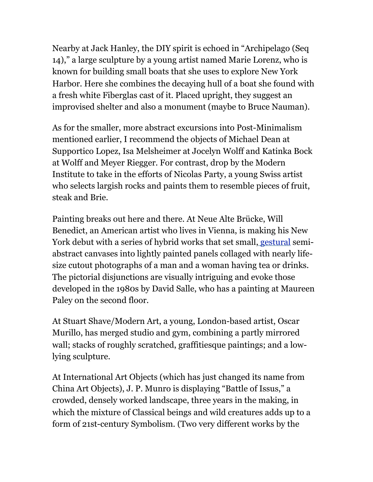Nearby at Jack Hanley, the DIY spirit is echoed in "Archipelago (Seq 14)," a large sculpture by a young artist named Marie Lorenz, who is known for building small boats that she uses to explore New York Harbor. Here she combines the decaying hull of a boat she found with a fresh white Fiberglas cast of it. Placed upright, they suggest an improvised shelter and also a monument (maybe to Bruce Nauman).

As for the smaller, more abstract excursions into Post-Minimalism mentioned earlier, I recommend the objects of Michael Dean at Supportico Lopez, Isa Melsheimer at Jocelyn Wolff and Katinka Bock at Wolff and Meyer Riegger. For contrast, drop by the Modern Institute to take in the efforts of Nicolas Party, a young Swiss artist who selects largish rocks and paints them to resemble pieces of fruit, steak and Brie.

Painting breaks out here and there. At Neue Alte Brücke, Will Benedict, an American artist who lives in Vienna, is making his New York debut with a series of hybrid works that set small[, gestural](http://www.tate.org.uk/collections/glossary/definition.jsp?entryId=119) semiabstract canvases into lightly painted panels collaged with nearly lifesize cutout photographs of a man and a woman having tea or drinks. The pictorial disjunctions are visually intriguing and evoke those developed in the 1980s by David Salle, who has a painting at Maureen Paley on the second floor.

At Stuart Shave/Modern Art, a young, London-based artist, Oscar Murillo, has merged studio and gym, combining a partly mirrored wall; stacks of roughly scratched, graffitiesque paintings; and a lowlying sculpture.

At International Art Objects (which has just changed its name from China Art Objects), J. P. Munro is displaying "Battle of Issus," a crowded, densely worked landscape, three years in the making, in which the mixture of Classical beings and wild creatures adds up to a form of 21st-century Symbolism. (Two very different works by the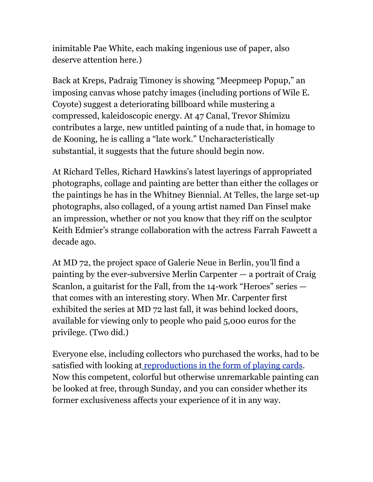inimitable Pae White, each making ingenious use of paper, also deserve attention here.)

Back at Kreps, Padraig Timoney is showing "Meepmeep Popup," an imposing canvas whose patchy images (including portions of Wile E. Coyote) suggest a deteriorating billboard while mustering a compressed, kaleidoscopic energy. At 47 Canal, Trevor Shimizu contributes a large, new untitled painting of a nude that, in homage to de Kooning, he is calling a "late work." Uncharacteristically substantial, it suggests that the future should begin now.

At Richard Telles, Richard Hawkins's latest layerings of appropriated photographs, collage and painting are better than either the collages or the paintings he has in the Whitney Biennial. At Telles, the large set-up photographs, also collaged, of a young artist named Dan Finsel make an impression, whether or not you know that they riff on the sculptor Keith Edmier's strange collaboration with the actress Farrah Fawcett a decade ago.

At MD 72, the project space of Galerie Neue in Berlin, you'll find a painting by the ever-subversive Merlin Carpenter — a portrait of Craig Scanlon, a guitarist for the Fall, from the 14-work "Heroes" series  $$ that comes with an interesting story. When Mr. Carpenter first exhibited the series at MD 72 last fall, it was behind locked doors, available for viewing only to people who paid 5,000 euros for the privilege. (Two did.)

Everyone else, including collectors who purchased the works, had to be satisfied with looking a[t reproductions in the form of playing cards.](http://www.mehringdamm72.de/archives/380) Now this competent, colorful but otherwise unremarkable painting can be looked at free, through Sunday, and you can consider whether its former exclusiveness affects your experience of it in any way.